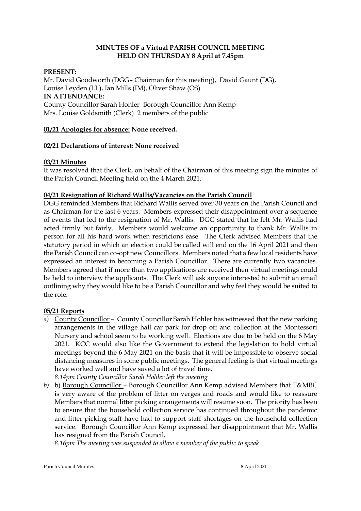# **MINUTES OF a Virtual PARISH COUNCIL MEETING HELD ON THURSDAY 8 April at 7.45pm**

# **PRESENT:**

Mr. David Goodworth (DGG– Chairman for this meeting), David Gaunt (DG), Louise Leyden (LL), Ian Mills (IM), Oliver Shaw (OS) **IN ATTENDANCE:**  County Councillor Sarah Hohler Borough Councillor Ann Kemp Mrs. Louise Goldsmith (Clerk) 2 members of the public

# **01/21 Apologies for absence: None received.**

## **02/21 Declarations of interest: None received**

# **03/21 Minutes**

It was resolved that the Clerk, on behalf of the Chairman of this meeting sign the minutes of the Parish Council Meeting held on the 4 March 2021.

# **04/21 Resignation of Richard Wallis/Vacancies on the Parish Council**

DGG reminded Members that Richard Wallis served over 30 years on the Parish Council and as Chairman for the last 6 years. Members expressed their disappointment over a sequence of events that led to the resignation of Mr. Wallis. DGG stated that he felt Mr. Wallis had acted firmly but fairly. Members would welcome an opportunity to thank Mr. Wallis in person for all his hard work when restricions ease. The Clerk advised Members that the statutory period in which an election could be called will end on the 16 April 2021 and then the Parish Council can co-opt new Councillors. Members noted that a few local residents have expressed an interest in becoming a Parish Councillor. There are currently two vacancies. Members agreed that if more than two applications are received then virtual meetings could be held to interview the applicants. The Clerk will ask anyone interested to submit an email outlining why they would like to be a Parish Councillor and why feel they would be suited to the role.

## **05/21 Reports**

*a)* County Councillor – County Councillor Sarah Hohler has witnessed that the new parking arrangements in the village hall car park for drop off and collection at the Montessori Nursery and school seem to be working well. Elections are due to be held on the 6 May 2021. KCC would also like the Government to extend the legislation to hold virtual meetings beyond the 6 May 2021 on the basis that it will be impossible to observe social distancing measures in some public meetings. The general feeling is that virtual meetings have worked well and have saved a lot of travel time.

*8.14pm County Councillor Sarah Hohler left the meeting*

*b)* b) Borough Councillor – Borough Councillor Ann Kemp advised Members that T&MBC is very aware of the problem of litter on verges and roads and would like to reassure Members that normal litter picking arrangements will resume soon. The priority has been to ensure that the household collection service has continued throughout the pandemic and litter picking staff have had to support staff shortages on the household collection service. Borough Councillor Ann Kemp expressed her disappointment that Mr. Wallis has resigned from the Parish Council.

*8.16pm The meeting was suspended to allow a member of the public to speak*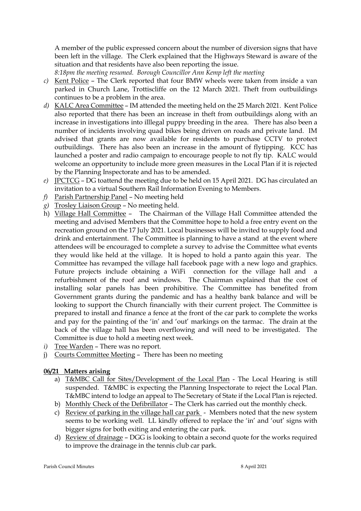A member of the public expressed concern about the number of diversion signs that have been left in the village. The Clerk explained that the Highways Steward is aware of the situation and that residents have also been reporting the issue.

*8:18pm the meeting resumed. Borough Councillor Ann Kemp left the meeting*

- *c)* Kent Police The Clerk reported that four BMW wheels were taken from inside a van parked in Church Lane, Trottiscliffe on the 12 March 2021. Theft from outbuildings continues to be a problem in the area.
- *d)* KALC Area Committee IM attended the meeting held on the 25 March 2021. Kent Police also reported that there has been an increase in theft from outbuildings along with an increase in investigations into illlegal puppy breeding in the area. There has also been a number of incidents involving quad bikes being driven on roads and private land. IM advised that grants are now available for residents to purchase CCTV to protect outbuildings. There has also been an increase in the amount of flytipping. KCC has launched a poster and radio campaign to encourage people to not fly tip. KALC would welcome an opportunity to include more green measures in the Local Plan if it is rejected by the Planning Inspectorate and has to be amended.
- *e)* JPCTCG DG toattend the meeting due to be held on 15 April 2021. DG has circulated an invitation to a virtual Southern Rail Information Evening to Members.
- *f)* Parish Partnership Panel No meeting held
- *g)* Trosley Liaison Group No meeting held.
- h) Village Hall Committee The Chairman of the Village Hall Committee attended the meeting and advised Members that the Committee hope to hold a free entry event on the recreation ground on the 17 July 2021. Local businesses will be invited to supply food and drink and entertainment. The Committee is planning to have a stand at the event where attendees will be encouraged to complete a survey to advise the Committee what events they would like held at the village. It is hoped to hold a panto again this year. The Committee has revamped the village hall facebook page with a new logo and graphics. Future projects include obtaining a WiFi connection for the village hall and a refurbishment of the roof and windows. The Chairman explained that the cost of installing solar panels has been prohibitive. The Committee has benefited from Government grants during the pandemic and has a healthy bank balance and will be looking to support the Church financially with their current project. The Committee is prepared to install and finance a fence at the front of the car park to complete the works and pay for the painting of the 'in' and 'out' markings on the tarmac. The drain at the back of the village hall has been overflowing and will need to be investigated. The Committee is due to hold a meeting next week.
- *i)* Tree Warden There was no report.
- j) Courts Committee Meeting There has been no meeting

# **06/21 Matters arising**

- a) T&MBC Call for Sites/Development of the Local Plan The Local Hearing is still suspended. T&MBC is expecting the Planning Inspectorate to reject the Local Plan. T&MBC intend to lodge an appeal to The Secretary of State if the Local Plan is rejected.
- b) Monthly Check of the Defibrillator The Clerk has carried out the monthly check.
- c) Review of parking in the village hall car park Members noted that the new system seems to be working well. LL kindly offered to replace the 'in' and 'out' signs with bigger signs for both exiting and entering the car park.
- d) Review of drainage DGG is looking to obtain a second quote for the works required to improve the drainage in the tennis club car park.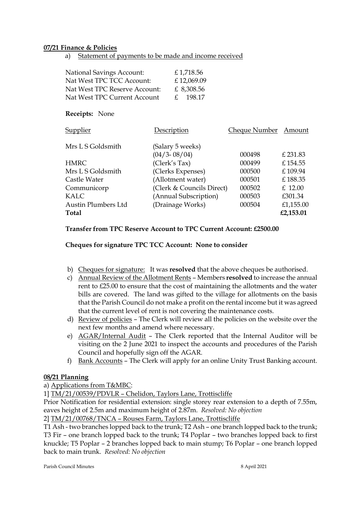#### **07/21 Finance & Policies**

a) Statement of payments to be made and income received

| <b>National Savings Account:</b> | £1,718.56  |
|----------------------------------|------------|
| Nat West TPC TCC Account:        | £12,069.09 |
| Nat West TPC Reserve Account:    | £ 8,308.56 |
| Nat West TPC Current Account     | £ 198.17   |

#### **Receipts:** None

| Supplier            | Description               | <b>Cheque Number</b> | Amount    |
|---------------------|---------------------------|----------------------|-----------|
| Mrs L S Goldsmith   | (Salary 5 weeks)          |                      |           |
|                     | $(04/3 - 08/04)$          | 000498               | £ 231.83  |
| <b>HMRC</b>         | (Clerk's Tax)             | 000499               | £154.55   |
| Mrs L S Goldsmith   | (Clerks Expenses)         | 000500               | £109.94   |
| Castle Water        | (Allotment water)         | 000501               | £188.35   |
| Communicorp         | (Clerk & Councils Direct) | 000502               | $£$ 12.00 |
| KALC                | (Annual Subscription)     | 000503               | £301.34   |
| Austin Plumbers Ltd | (Drainage Works)          | 000504               | £1,155.00 |
| Total               |                           |                      | £2,153.01 |
|                     |                           |                      |           |

#### **Transfer from TPC Reserve Account to TPC Current Account: £2500.00**

**Cheques for signature TPC TCC Account: None to consider**

- b) Cheques for signature: It was **resolved** that the above cheques be authorised.
- c) Annual Review of the Allotment Rents Members **resolved** to increase the annual rent to £25.00 to ensure that the cost of maintaining the allotments and the water bills are covered. The land was gifted to the village for allotments on the basis that the Parish Council do not make a profit on the rental income but it was agreed that the current level of rent is not covering the maintenance costs.
- d) Review of policies The Clerk will review all the policies on the website over the next few months and amend where necessary.
- e) AGAR/Internal Audit The Clerk reported that the Internal Auditor will be visiting on the 2 June 2021 to inspect the accounts and procedures of the Parish Council and hopefully sign off the AGAR.
- f) Bank Accounts The Clerk will apply for an online Unity Trust Banking account.

## **08/21 Planning**

a) Applications from T&MBC:

1] TM/21/00539/PDVLR – Chelidon, Taylors Lane, Trottiscliffe

Prior Notification for residential extension: single storey rear extension to a depth of 7.55m, eaves height of 2.5m and maximum height of 2.87m. *Resolved: No objection*

2] TM/21/00768/TNCA – Rouses Farm, Taylors Lane, Trottiscliffe

T1 Ash - two branches lopped back to the trunk; T2 Ash – one branch lopped back to the trunk; T3 Fir – one branch lopped back to the trunk; T4 Poplar – two branches lopped back to first knuckle; T5 Poplar – 2 branches lopped back to main stump; T6 Poplar – one branch lopped back to main trunk. *Resolved: No objection*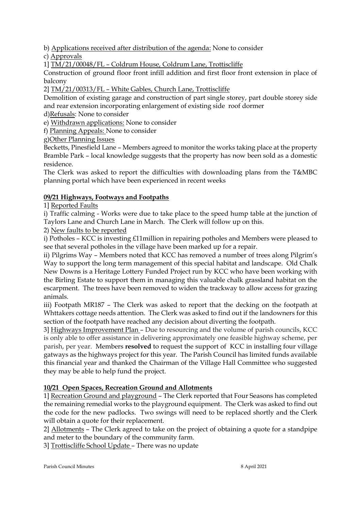b) Applications received after distribution of the agenda: None to consider

c) Approvals

1] TM/21/00048/FL – Coldrum House, Coldrum Lane, Trottiscliffe

Construction of ground floor front infill addition and first floor front extension in place of balcony

2] TM/21/00313/FL – White Gables, Church Lane, Trottiscliffe

Demolition of existing garage and construction of part single storey, part double storey side and rear extension incorporating enlargement of existing side roof dormer

d)Refusals: None to consider

e) Withdrawn applications: None to consider

f) Planning Appeals: None to consider

g)Other Planning Issues

Becketts, Pinesfield Lane – Members agreed to monitor the works taking place at the property Bramble Park – local knowledge suggests that the property has now been sold as a domestic residence.

The Clerk was asked to report the difficulties with downloading plans from the T&MBC planning portal which have been experienced in recent weeks

# **09/21 Highways, Footways and Footpaths**

1] Reported Faults

i) Traffic calming - Works were due to take place to the speed hump table at the junction of Taylors Lane and Church Lane in March. The Clerk will follow up on this.

2) New faults to be reported

i) Potholes – KCC is investing £11million in repairing potholes and Members were pleased to see that several potholes in the village have been marked up for a repair.

ii) Pilgrims Way – Members noted that KCC has removed a number of trees along Pilgrim's Way to support the long term management of this special habitat and landscape. Old Chalk New Downs is a Heritage Lottery Funded Project run by KCC who have been working with the Birling Estate to support them in managing this valuable chalk grassland habitat on the escarpment. The trees have been removed to widen the trackway to allow access for grazing animals.

iii) Footpath MR187 – The Clerk was asked to report that the decking on the footpath at Whttakers cottage needs attention. The Clerk was asked to find out if the landowners for this section of the footpath have reached any decision about diverting the footpath.

3] Highways Improvement Plan – Due to resourcing and the volume of parish councils, KCC is only able to offer assistance in delivering approximately one feasible highway scheme, per parish, per year. Members **resolved** to request the support of KCC in installing four village gatways as the highways project for this year. The Parish Council has limited funds available this financial year and thanked the Chairman of the Village Hall Committee who suggested they may be able to help fund the project.

# **10/21 Open Spaces, Recreation Ground and Allotments**

1] Recreation Ground and playground – The Clerk reported that Four Seasons has completed the remaining remedial works to the playground equipment. The Clerk was asked to find out the code for the new padlocks. Two swings will need to be replaced shortly and the Clerk will obtain a quote for their replacement.

2] Allotments – The Clerk agreed to take on the project of obtaining a quote for a standpipe and meter to the boundary of the community farm.

3] Trottiscliffe School Update – There was no update